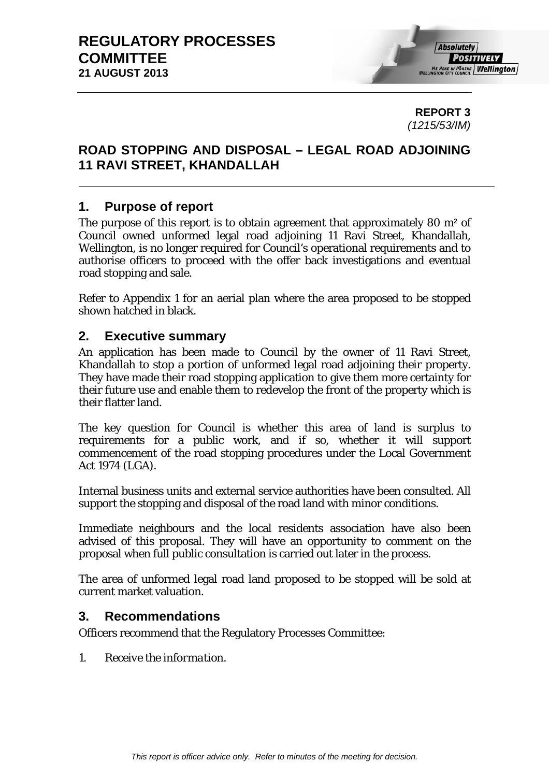**REPORT 3**  *(1215/53/IM)* 

# **ROAD STOPPING AND DISPOSAL – LEGAL ROAD ADJOINING 11 RAVI STREET, KHANDALLAH**

# **1. Purpose of report**

The purpose of this report is to obtain agreement that approximately 80 m<sup>2</sup> of Council owned unformed legal road adjoining 11 Ravi Street, Khandallah, Wellington, is no longer required for Council's operational requirements and to authorise officers to proceed with the offer back investigations and eventual road stopping and sale.

Refer to Appendix 1 for an aerial plan where the area proposed to be stopped shown hatched in black.

# **2. Executive summary**

An application has been made to Council by the owner of 11 Ravi Street, Khandallah to stop a portion of unformed legal road adjoining their property. They have made their road stopping application to give them more certainty for their future use and enable them to redevelop the front of the property which is their flatter land.

The key question for Council is whether this area of land is surplus to requirements for a public work, and if so, whether it will support commencement of the road stopping procedures under the Local Government Act 1974 (LGA).

Internal business units and external service authorities have been consulted. All support the stopping and disposal of the road land with minor conditions.

Immediate neighbours and the local residents association have also been advised of this proposal. They will have an opportunity to comment on the proposal when full public consultation is carried out later in the process.

The area of unformed legal road land proposed to be stopped will be sold at current market valuation.

## **3. Recommendations**

Officers recommend that the Regulatory Processes Committee:

*1. Receive the information.*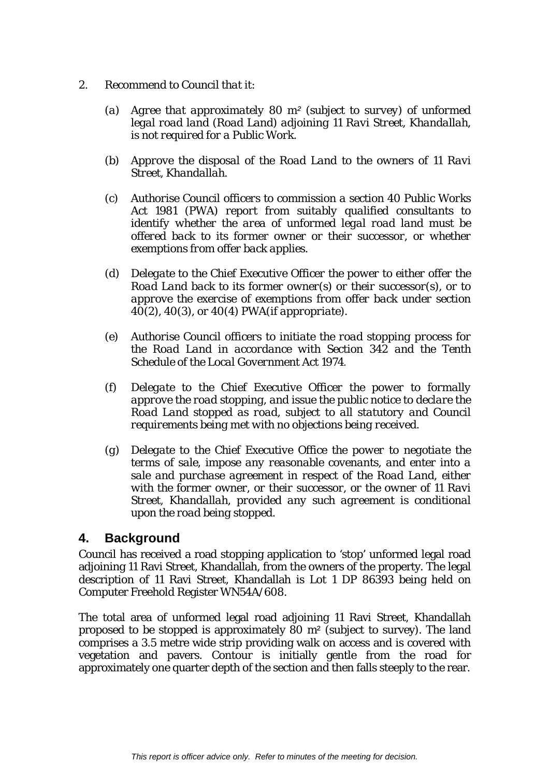- *2. Recommend to Council that it:* 
	- *(a) Agree that approximately 80 m² (subject to survey) of unformed legal road land (Road Land) adjoining 11 Ravi Street, Khandallah, is not required for a Public Work.*
	- *(b) Approve the disposal of the Road Land to the owners of 11 Ravi Street, Khandallah.*
	- *(c) Authorise Council officers to commission a section 40 Public Works Act 1981 (PWA) report from suitably qualified consultants to identify whether the area of unformed legal road land must be offered back to its former owner or their successor, or whether exemptions from offer back applies.*
	- *(d) Delegate to the Chief Executive Officer the power to either offer the Road Land back to its former owner(s) or their successor(s), or to approve the exercise of exemptions from offer back under section 40(2), 40(3), or 40(4) PWA(if appropriate).*
	- *(e) Authorise Council officers to initiate the road stopping process for the Road Land in accordance with Section 342 and the Tenth Schedule of the Local Government Act 1974.*
	- *(f) Delegate to the Chief Executive Officer the power to formally approve the road stopping, and issue the public notice to declare the Road Land stopped as road, subject to all statutory and Council requirements being met with no objections being received.*
	- *(g) Delegate to the Chief Executive Office the power to negotiate the terms of sale, impose any reasonable covenants, and enter into a sale and purchase agreement in respect of the Road Land, either with the former owner, or their successor, or the owner of 11 Ravi Street, Khandallah, provided any such agreement is conditional upon the road being stopped.*

# **4. Background**

Council has received a road stopping application to 'stop' unformed legal road adjoining 11 Ravi Street, Khandallah, from the owners of the property. The legal description of 11 Ravi Street, Khandallah is Lot 1 DP 86393 being held on Computer Freehold Register WN54A/608.

The total area of unformed legal road adjoining 11 Ravi Street, Khandallah proposed to be stopped is approximately 80 m² (subject to survey). The land comprises a 3.5 metre wide strip providing walk on access and is covered with vegetation and pavers. Contour is initially gentle from the road for approximately one quarter depth of the section and then falls steeply to the rear.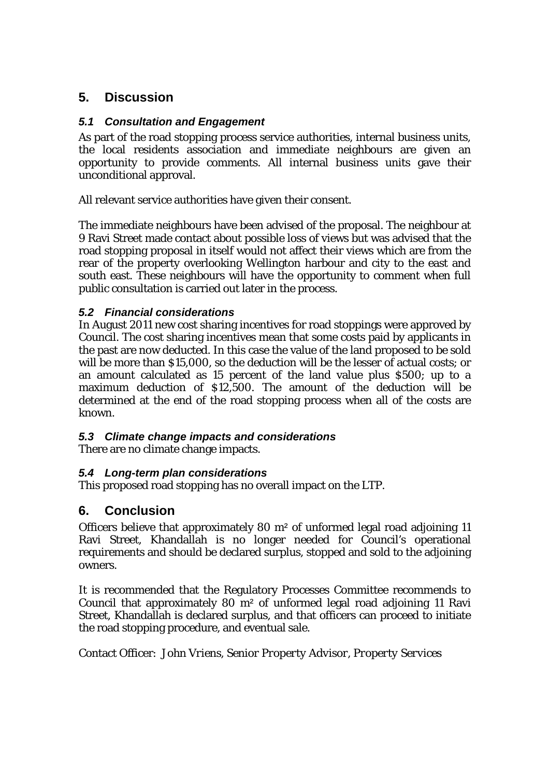# **5. Discussion**

# *5.1 Consultation and Engagement*

As part of the road stopping process service authorities, internal business units, the local residents association and immediate neighbours are given an opportunity to provide comments. All internal business units gave their unconditional approval.

All relevant service authorities have given their consent.

The immediate neighbours have been advised of the proposal. The neighbour at 9 Ravi Street made contact about possible loss of views but was advised that the road stopping proposal in itself would not affect their views which are from the rear of the property overlooking Wellington harbour and city to the east and south east. These neighbours will have the opportunity to comment when full public consultation is carried out later in the process.

## *5.2 Financial considerations*

In August 2011 new cost sharing incentives for road stoppings were approved by Council. The cost sharing incentives mean that some costs paid by applicants in the past are now deducted. In this case the value of the land proposed to be sold will be more than \$15,000, so the deduction will be the lesser of actual costs; or an amount calculated as 15 percent of the land value plus \$500; up to a maximum deduction of \$12,500. The amount of the deduction will be determined at the end of the road stopping process when all of the costs are known.

## *5.3 Climate change impacts and considerations*

There are no climate change impacts.

## *5.4 Long-term plan considerations*

This proposed road stopping has no overall impact on the LTP.

# **6. Conclusion**

Officers believe that approximately 80 m² of unformed legal road adjoining 11 Ravi Street, Khandallah is no longer needed for Council's operational requirements and should be declared surplus, stopped and sold to the adjoining owners.

It is recommended that the Regulatory Processes Committee recommends to Council that approximately 80 m² of unformed legal road adjoining 11 Ravi Street, Khandallah is declared surplus, and that officers can proceed to initiate the road stopping procedure, and eventual sale.

Contact Officer: *John Vriens, Senior Property Advisor, Property Services*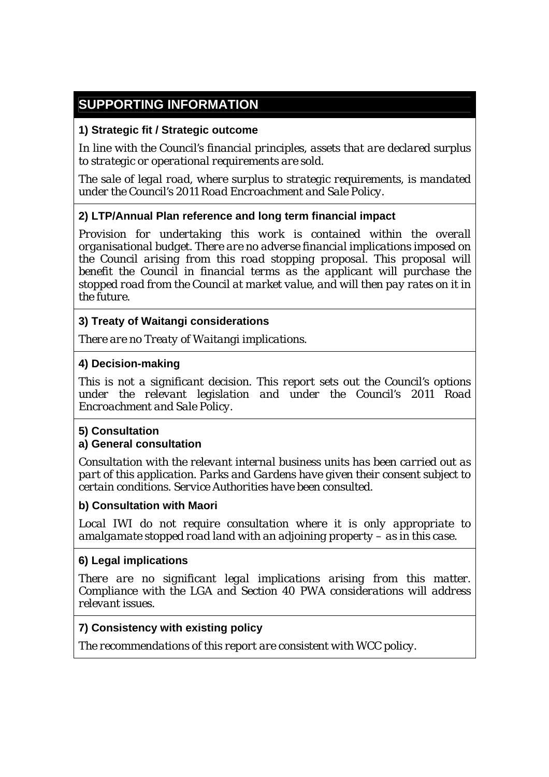# **SUPPORTING INFORMATION**

# **1) Strategic fit / Strategic outcome**

*In line with the Council's financial principles, assets that are declared surplus to strategic or operational requirements are sold.* 

*The sale of legal road, where surplus to strategic requirements, is mandated under the Council's 2011 Road Encroachment and Sale Policy.* 

# **2) LTP/Annual Plan reference and long term financial impact**

*Provision for undertaking this work is contained within the overall organisational budget. There are no adverse financial implications imposed on the Council arising from this road stopping proposal. This proposal will benefit the Council in financial terms as the applicant will purchase the stopped road from the Council at market value, and will then pay rates on it in the future.* 

## **3) Treaty of Waitangi considerations**

*There are no Treaty of Waitangi implications.* 

#### **4) Decision-making**

*This is not a significant decision. This report sets out the Council's options under the relevant legislation and under the Council's 2011 Road Encroachment and Sale Policy.*

#### **5) Consultation**

## **a) General consultation**

*Consultation with the relevant internal business units has been carried out as part of this application. Parks and Gardens have given their consent subject to certain conditions. Service Authorities have been consulted.* 

#### **b) Consultation with Maori**

*Local IWI do not require consultation where it is only appropriate to amalgamate stopped road land with an adjoining property – as in this case.*

#### **6) Legal implications**

*There are no significant legal implications arising from this matter. Compliance with the LGA and Section 40 PWA considerations will address relevant issues.* 

## **7) Consistency with existing policy**

*The recommendations of this report are consistent with WCC policy.*